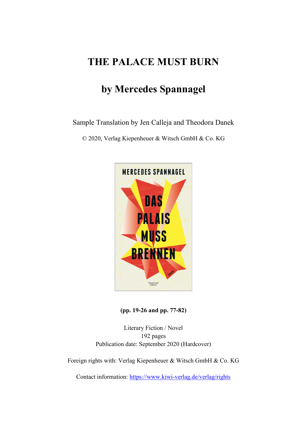## **THE PALACE MUST BURN**

## **by Mercedes Spannagel**

Sample Translation by Jen Calleja and Theodora Danek

© 2020, Verlag Kiepenheuer & Witsch GmbH & Co. KG



**(pp. 19-26 and pp. 77-82)**

Literary Fiction / Novel 192 pages Publication date: September 2020 (Hardcover)

Foreign rights with: Verlag Kiepenheuer & Witsch GmbH & Co. KG

Contact information: <https://www.kiwi-verlag.de/verlag/rights>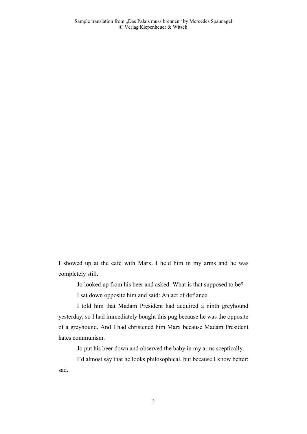**I** showed up at the café with Marx. I held him in my arms and he was completely still.

Jo looked up from his beer and asked: What is that supposed to be?

I sat down opposite him and said: An act of defiance.

I told him that Madam President had acquired a ninth greyhound yesterday, so I had immediately bought this pug because he was the opposite of a greyhound. And I had christened him Marx because Madam President hates communism.

Jo put his beer down and observed the baby in my arms sceptically.

I'd almost say that he looks philosophical, but because I know better: sad.

2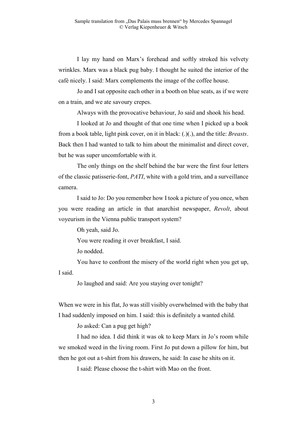I lay my hand on Marx's forehead and softly stroked his velvety wrinkles. Marx was a black pug baby. I thought he suited the interior of the café nicely. I said: Marx complements the image of the coffee house.

Jo and I sat opposite each other in a booth on blue seats, as if we were on a train, and we ate savoury crepes.

Always with the provocative behaviour, Jo said and shook his head.

I looked at Jo and thought of that one time when I picked up a book from a book table, light pink cover, on it in black: (.)(.), and the title: *Breasts*. Back then I had wanted to talk to him about the minimalist and direct cover, but he was super uncomfortable with it.

The only things on the shelf behind the bar were the first four letters of the classic patisserie-font, *PATI*, white with a gold trim, and a surveillance camera.

I said to Jo: Do you remember how I took a picture of you once, when you were reading an article in that anarchist newspaper, *Revolt*, about voyeurism in the Vienna public transport system?

Oh yeah, said Jo.

You were reading it over breakfast, I said.

Jo nodded.

You have to confront the misery of the world right when you get up, I said.

Jo laughed and said: Are you staying over tonight?

When we were in his flat, Jo was still visibly overwhelmed with the baby that I had suddenly imposed on him. I said: this is definitely a wanted child.

Jo asked: Can a pug get high?

I had no idea. I did think it was ok to keep Marx in Jo's room while we smoked weed in the living room. First Jo put down a pillow for him, but then he got out a t-shirt from his drawers, he said: In case he shits on it.

I said: Please choose the t-shirt with Mao on the front.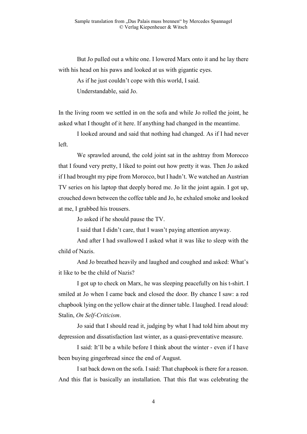But Jo pulled out a white one. I lowered Marx onto it and he lay there with his head on his paws and looked at us with gigantic eyes.

As if he just couldn't cope with this world, I said.

Understandable, said Jo.

In the living room we settled in on the sofa and while Jo rolled the joint, he asked what I thought of it here. If anything had changed in the meantime.

I looked around and said that nothing had changed. As if I had never left.

We sprawled around, the cold joint sat in the ashtray from Morocco that I found very pretty, I liked to point out how pretty it was. Then Jo asked if I had brought my pipe from Morocco, but I hadn't. We watched an Austrian TV series on his laptop that deeply bored me. Jo lit the joint again. I got up, crouched down between the coffee table and Jo, he exhaled smoke and looked at me, I grabbed his trousers.

Jo asked if he should pause the TV.

I said that I didn't care, that I wasn't paying attention anyway.

And after I had swallowed I asked what it was like to sleep with the child of Nazis.

And Jo breathed heavily and laughed and coughed and asked: What's it like to be the child of Nazis?

I got up to check on Marx, he was sleeping peacefully on his t-shirt. I smiled at Jo when I came back and closed the door. By chance I saw: a red chapbook lying on the yellow chair at the dinner table. I laughed. I read aloud: Stalin, *On Self-Criticism*.

Jo said that I should read it, judging by what I had told him about my depression and dissatisfaction last winter, as a quasi-preventative measure.

I said: It'll be a while before I think about the winter - even if I have been buying gingerbread since the end of August.

Isat back down on the sofa. Isaid: That chapbook is there for a reason. And this flat is basically an installation. That this flat was celebrating the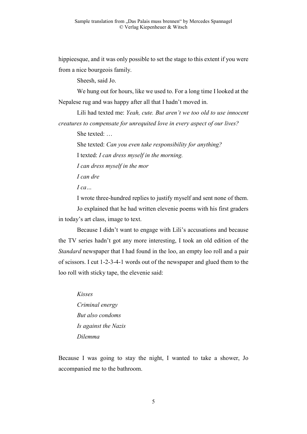hippieesque, and it was only possible to set the stage to this extent if you were from a nice bourgeois family.

Sheesh, said Jo.

We hung out for hours, like we used to. For a long time I looked at the Nepalese rug and was happy after all that I hadn't moved in.

Lili had texted me: *Yeah, cute. But aren't we too old to use innocent creatures to compensate for unrequited love in every aspect of our lives?*

She texted: …

She texted: *Can you even take responsibility for anything?* I texted: *I can dress myself in the morning.*

*I can dress myself in the mor*

*I can dre*

*I ca…*

I wrote three-hundred replies to justify myself and sent none of them.

Jo explained that he had written elevenie poems with his first graders in today's art class, image to text.

Because I didn't want to engage with Lili's accusations and because the TV series hadn't got any more interesting, I took an old edition of the *Standard* newspaper that I had found in the loo, an empty loo roll and a pair of scissors. I cut 1-2-3-4-1 words out of the newspaper and glued them to the loo roll with sticky tape, the elevenie said:

*Kisses Criminal energy But also condoms Is against the Nazis Dilemma*

Because I was going to stay the night, I wanted to take a shower, Jo accompanied me to the bathroom.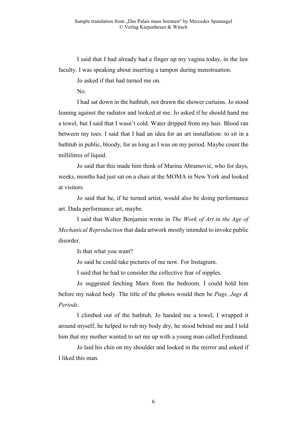I said that I had already had a finger up my vagina today, in the law faculty. I was speaking about inserting a tampon during menstruation.

Jo asked if that had turned me on.

No.

I had sat down in the bathtub, not drawn the shower curtains. Jo stood leaning against the radiator and looked at me. Jo asked if he should hand me a towel, but I said that I wasn't cold. Water dripped from my hair. Blood ran between my toes. I said that I had an idea for an art installation: to sit in a bathtub in public, bloody, for as long as I was on my period. Maybe count the millilitres of liquid.

Jo said that this made him think of Marina Abramović, who for days, weeks, months had just sat on a chair at the MOMA in New York and looked at visitors.

Jo said that he, if he turned artist, would also be doing performance art. Dada performance art, maybe.

I said that Walter Benjamin wrote in *The Work of Art in the Age of Mechanical Reproduction* that dada artwork mostly intended to invoke public disorder.

Is that what you want?

Jo said he could take pictures of me now. For Instagram.

I said that he had to consider the collective fear of nipples.

Jo suggested fetching Marx from the bedroom. I could hold him before my naked body. The title of the photos would then be *Pugs, Jugs & Periods.*

I climbed out of the bathtub, Jo handed me a towel, I wrapped it around myself, he helped to rub my body dry, he stood behind me and I told him that my mother wanted to set me up with a young man called Ferdinand.

Jo laid his chin on my shoulder and looked in the mirror and asked if I liked this man.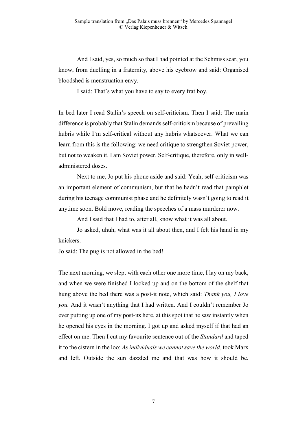And I said, yes, so much so that I had pointed at the Schmiss scar, you know, from duelling in a fraternity, above his eyebrow and said: Organised bloodshed is menstruation envy.

I said: That's what you have to say to every frat boy.

In bed later I read Stalin's speech on self-criticism. Then I said: The main difference is probably that Stalin demands self-criticism because of prevailing hubris while I'm self-critical without any hubris whatsoever. What we can learn from this is the following: we need critique to strengthen Soviet power, but not to weaken it. I am Soviet power. Self-critique, therefore, only in welladministered doses.

Next to me, Jo put his phone aside and said: Yeah, self-criticism was an important element of communism, but that he hadn't read that pamphlet during his teenage communist phase and he definitely wasn't going to read it anytime soon. Bold move, reading the speeches of a mass murderer now.

And I said that I had to, after all, know what it was all about.

Jo asked, uhuh, what was it all about then, and I felt his hand in my knickers.

Jo said: The pug is not allowed in the bed!

The next morning, we slept with each other one more time, I lay on my back, and when we were finished I looked up and on the bottom of the shelf that hung above the bed there was a post-it note, which said: *Thank you, I love you.* And it wasn't anything that I had written. And I couldn't remember Jo ever putting up one of my post-its here, at this spot that he saw instantly when he opened his eyes in the morning. I got up and asked myself if that had an effect on me. Then I cut my favourite sentence out of the *Standard* and taped it to the cistern in the loo: *As individuals we cannot save the world*, took Marx and left. Outside the sun dazzled me and that was how it should be.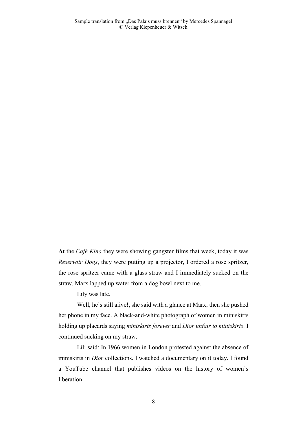**A**t the *Café Kino* they were showing gangster films that week, today it was *Reservoir Dogs*, they were putting up a projector, I ordered a rose spritzer, the rose spritzer came with a glass straw and I immediately sucked on the straw, Marx lapped up water from a dog bowl next to me.

Lily was late.

Well, he's still alive!, she said with a glance at Marx, then she pushed her phone in my face. A black-and-white photograph of women in miniskirts holding up placards saying *miniskirts forever* and *Dior unfair to miniskirts*. I continued sucking on my straw.

Lili said: In 1966 women in London protested against the absence of miniskirts in *Dior* collections. I watched a documentary on it today. I found a YouTube channel that publishes videos on the history of women's liberation.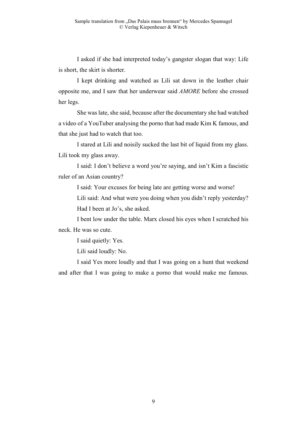I asked if she had interpreted today's gangster slogan that way: Life is short, the skirt is shorter.

I kept drinking and watched as Lili sat down in the leather chair opposite me, and I saw that her underwear said *AMORE* before she crossed her legs.

She was late, she said, because after the documentary she had watched a video of a YouTuber analysing the porno that had made Kim K famous, and that she just had to watch that too.

I stared at Lili and noisily sucked the last bit of liquid from my glass. Lili took my glass away.

I said: I don't believe a word you're saying, and isn't Kim a fascistic ruler of an Asian country?

I said: Your excuses for being late are getting worse and worse!

Lili said: And what were you doing when you didn't reply yesterday? Had I been at Jo's, she asked.

I bent low under the table. Marx closed his eyes when I scratched his neck. He was so cute.

I said quietly: Yes.

Lili said loudly: No.

I said Yes more loudly and that I was going on a hunt that weekend and after that I was going to make a porno that would make me famous.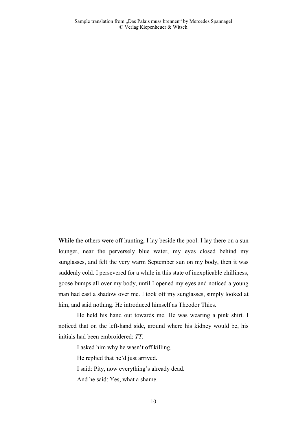While the others were off hunting, I lay beside the pool. I lay there on a sun lounger, near the perversely blue water, my eyes closed behind my sunglasses, and felt the very warm September sun on my body, then it was suddenly cold. I persevered for a while in this state of inexplicable chilliness, goose bumps all over my body, until I opened my eyes and noticed a young man had cast a shadow over me. I took off my sunglasses, simply looked at him, and said nothing. He introduced himself as Theodor Thies.

He held his hand out towards me. He was wearing a pink shirt. I noticed that on the left-hand side, around where his kidney would be, his initials had been embroidered: *TT*.

I asked him why he wasn't off killing.

He replied that he'd just arrived.

I said: Pity, now everything's already dead.

And he said: Yes, what a shame.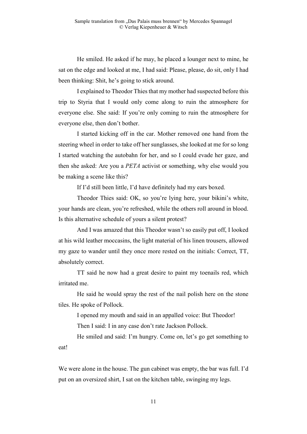He smiled. He asked if he may, he placed a lounger next to mine, he sat on the edge and looked at me, I had said: Please, please, do sit, only I had been thinking: Shit, he's going to stick around.

I explained to Theodor Thies that my mother had suspected before this trip to Styria that I would only come along to ruin the atmosphere for everyone else. She said: If you're only coming to ruin the atmosphere for everyone else, then don't bother.

I started kicking off in the car. Mother removed one hand from the steering wheel in order to take off her sunglasses, she looked at me for so long I started watching the autobahn for her, and so I could evade her gaze, and then she asked: Are you a *PETA* activist or something, why else would you be making a scene like this?

If I'd still been little, I'd have definitely had my ears boxed.

Theodor Thies said: OK, so you're lying here, your bikini's white, your hands are clean, you're refreshed, while the others roll around in blood. Is this alternative schedule of yours a silent protest?

And I was amazed that this Theodor wasn't so easily put off, I looked at his wild leather moccasins, the light material of his linen trousers, allowed my gaze to wander until they once more rested on the initials: Correct, TT, absolutely correct.

TT said he now had a great desire to paint my toenails red, which irritated me.

He said he would spray the rest of the nail polish here on the stone tiles. He spoke of Pollock.

I opened my mouth and said in an appalled voice: But Theodor! Then I said: I in any case don't rate Jackson Pollock.

He smiled and said: I'm hungry. Come on, let's go get something to eat!

We were alone in the house. The gun cabinet was empty, the bar was full. I'd put on an oversized shirt, I sat on the kitchen table, swinging my legs.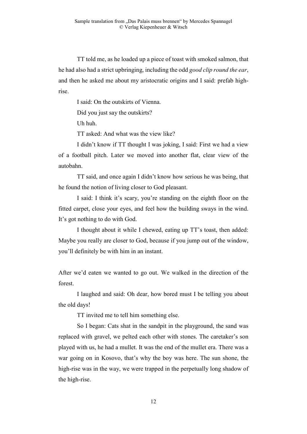TT told me, as he loaded up a piece of toast with smoked salmon, that he had also had a strict upbringing, including the odd *good clip round the ear*, and then he asked me about my aristocratic origins and I said: prefab highrise.

I said: On the outskirts of Vienna.

Did you just say the outskirts?

Uh huh.

TT asked: And what was the view like?

I didn't know if TT thought I was joking, I said: First we had a view of a football pitch. Later we moved into another flat, clear view of the autobahn.

TT said, and once again I didn't know how serious he was being, that he found the notion of living closer to God pleasant.

I said: I think it's scary, you're standing on the eighth floor on the fitted carpet, close your eyes, and feel how the building sways in the wind. It's got nothing to do with God.

I thought about it while I chewed, eating up TT's toast, then added: Maybe you really are closer to God, because if you jump out of the window, you'll definitely be with him in an instant.

After we'd eaten we wanted to go out. We walked in the direction of the forest.

I laughed and said: Oh dear, how bored must I be telling you about the old days!

TT invited me to tell him something else.

So I began: Cats shat in the sandpit in the playground, the sand was replaced with gravel, we pelted each other with stones. The caretaker's son played with us, he had a mullet. It was the end of the mullet era. There was a war going on in Kosovo, that's why the boy was here. The sun shone, the high-rise was in the way, we were trapped in the perpetually long shadow of the high-rise.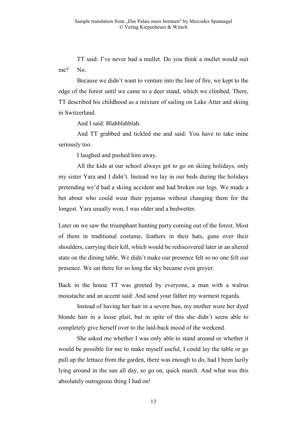TT said: I've never had a mullet. Do you think a mullet would suit me? No.

Because we didn't want to venture into the line of fire, we kept to the edge of the forest until we came to a deer stand, which we climbed. There, TT described his childhood as a mixture of sailing on Lake Atter and skiing in Switzerland.

And I said: Blahblahblah.

And TT grabbed and tickled me and said: You have to take mine seriously too.

I laughed and pushed him away.

All the kids at our school always got to go on skiing holidays, only my sister Yara and I didn't. Instead we lay in our beds during the holidays pretending we'd had a skiing accident and had broken our legs. We made a bet about who could wear their pyjamas without changing them for the longest. Yara usually won, I was older and a bedwetter.

Later on we saw the triumphant hunting party coming out of the forest. Most of them in traditional costume, feathers in their hats, guns over their shoulders, carrying their kill, which would be rediscovered later in an altered state on the dining table. We didn't make our presence felt so no one felt our presence. We sat there for so long the sky became even greyer.

Back in the house TT was greeted by everyone, a man with a walrus moustache and an accent said: And send your father my warmest regards.

Instead of having her hair in a severe bun, my mother wore her dyed blonde hair in a loose plait, but in spite of this she didn't seem able to completely give herself over to the laid-back mood of the weekend.

She asked me whether I was only able to stand around or whether it would be possible for me to make myself useful, I could lay the table or go pull up the lettuce from the garden, there was enough to do, had I been lazily lying around in the sun all day, so go on, quick march. And what was this absolutely outrageous thing I had on!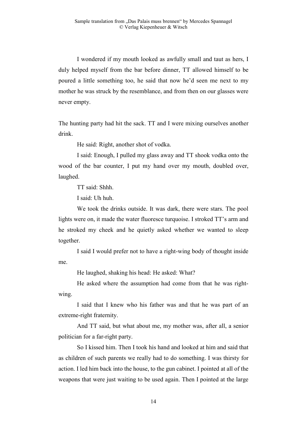I wondered if my mouth looked as awfully small and taut as hers, I duly helped myself from the bar before dinner, TT allowed himself to be poured a little something too, he said that now he'd seen me next to my mother he was struck by the resemblance, and from then on our glasses were never empty.

The hunting party had hit the sack. TT and I were mixing ourselves another drink.

He said: Right, another shot of vodka.

I said: Enough, I pulled my glass away and TT shook vodka onto the wood of the bar counter, I put my hand over my mouth, doubled over, laughed.

TT said: Shhh.

I said: Uh huh.

We took the drinks outside. It was dark, there were stars. The pool lights were on, it made the water fluoresce turquoise. I stroked TT's arm and he stroked my cheek and he quietly asked whether we wanted to sleep together.

I said I would prefer not to have a right-wing body of thought inside me.

He laughed, shaking his head: He asked: What?

He asked where the assumption had come from that he was rightwing.

I said that I knew who his father was and that he was part of an extreme-right fraternity.

And TT said, but what about me, my mother was, after all, a senior politician for a far-right party.

So I kissed him. Then I took his hand and looked at him and said that as children of such parents we really had to do something. I was thirsty for action. I led him back into the house, to the gun cabinet. I pointed at all of the weapons that were just waiting to be used again. Then I pointed at the large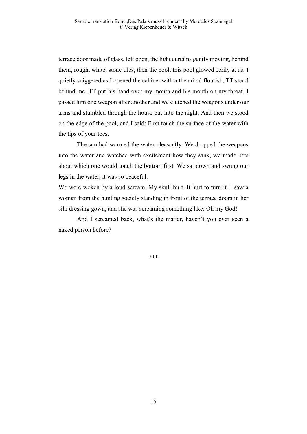terrace door made of glass, left open, the light curtains gently moving, behind them, rough, white, stone tiles, then the pool, this pool glowed eerily at us. I quietly sniggered as I opened the cabinet with a theatrical flourish, TT stood behind me, TT put his hand over my mouth and his mouth on my throat, I passed him one weapon after another and we clutched the weapons under our arms and stumbled through the house out into the night. And then we stood on the edge of the pool, and I said: First touch the surface of the water with the tips of your toes.

The sun had warmed the water pleasantly. We dropped the weapons into the water and watched with excitement how they sank, we made bets about which one would touch the bottom first. We sat down and swung our legs in the water, it was so peaceful.

We were woken by a loud scream. My skull hurt. It hurt to turn it. I saw a woman from the hunting society standing in front of the terrace doors in her silk dressing gown, and she was screaming something like: Oh my God!

And I screamed back, what's the matter, haven't you ever seen a naked person before?

\*\*\*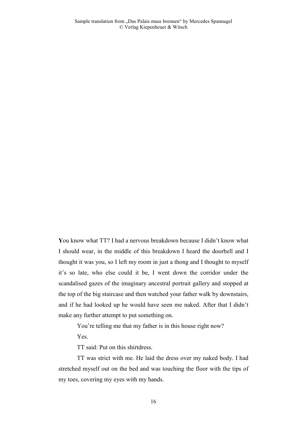**Y**ou know what TT? I had a nervous breakdown because I didn't know what I should wear, in the middle of this breakdown I heard the doorbell and I thought it was you, so I left my room in just a thong and I thought to myself it's so late, who else could it be, I went down the corridor under the scandalised gazes of the imaginary ancestral portrait gallery and stopped at the top of the big staircase and then watched your father walk by downstairs, and if he had looked up he would have seen me naked. After that I didn't make any further attempt to put something on.

You're telling me that my father is in this house right now?

Yes.

TT said: Put on this shirtdress.

TT was strict with me. He laid the dress over my naked body. I had stretched myself out on the bed and was touching the floor with the tips of my toes, covering my eyes with my hands.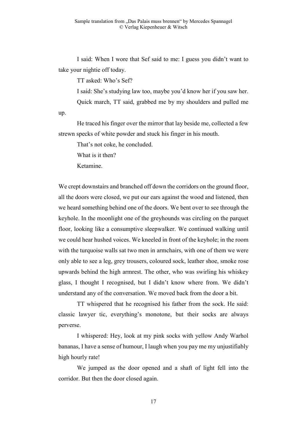I said: When I wore that Sef said to me: I guess you didn't want to take your nightie off today.

TT asked: Who's Sef?

I said: She's studying law too, maybe you'd know her if you saw her. Quick march, TT said, grabbed me by my shoulders and pulled me

He traced his finger over the mirror that lay beside me, collected a few strewn specks of white powder and stuck his finger in his mouth.

That's not coke, he concluded.

What is it then?

Ketamine.

up.

We crept downstairs and branched off down the corridors on the ground floor, all the doors were closed, we put our ears against the wood and listened, then we heard something behind one of the doors. We bent over to see through the keyhole. In the moonlight one of the greyhounds was circling on the parquet floor, looking like a consumptive sleepwalker. We continued walking until we could hear hushed voices. We kneeled in front of the keyhole; in the room with the turquoise walls sat two men in armchairs, with one of them we were only able to see a leg, grey trousers, coloured sock, leather shoe, smoke rose upwards behind the high armrest. The other, who was swirling his whiskey glass, I thought I recognised, but I didn't know where from. We didn't understand any of the conversation. We moved back from the door a bit.

TT whispered that he recognised his father from the sock. He said: classic lawyer tic, everything's monotone, but their socks are always perverse.

I whispered: Hey, look at my pink socks with yellow Andy Warhol bananas, I have a sense of humour, I laugh when you pay me my unjustifiably high hourly rate!

We jumped as the door opened and a shaft of light fell into the corridor. But then the door closed again.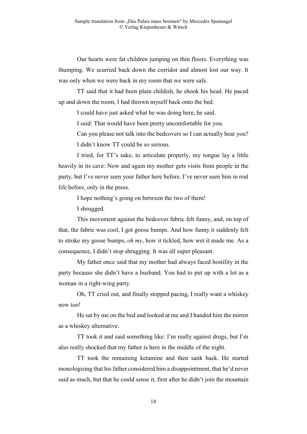Our hearts were fat children jumping on thin floors. Everything was thumping. We scurried back down the corridor and almost lost our way. It was only when we were back in my room that we were safe.

TT said that it had been plain childish, he shook his head. He paced up and down the room, I had thrown myself back onto the bed.

I could have just asked what he was doing here, he said.

I said: That would have been pretty uncomfortable for you.

Can you please not talk into the bedcovers so I can actually hear you? I didn't know TT could be so serious.

I tried, for TT's sake, to articulate properly, my tongue lay a little heavily in its cave: Now and again my mother gets visits from people in the party, but I've never seen your father here before. I've never seen him in real life before, only in the press.

I hope nothing's going on between the two of them!

I shrugged.

This movement against the bedcover fabric felt funny, and, on top of that, the fabric was cool, I got goose bumps. And how funny it suddenly felt to stroke my goose bumps, *oh my*, how it tickled, how wet it made me. As a consequence, I didn't stop shrugging. It was all super pleasant.

My father once said that my mother had always faced hostility in the party because she didn't have a husband. You had to put up with a lot as a woman in a right-wing party.

Oh, TT cried out, and finally stopped pacing, I really want a whiskey now too!

He sat by me on the bed and looked at me and I handed him the mirror as a whiskey alternative.

TT took it and said something like: I'm really against drugs, but I'm also really shocked that my father is here in the middle of the night.

TT took the remaining ketamine and then sank back. He started monologising that his father considered him a disappointment, that he'd never said as much, but that he could sense it, first after he didn't join the mountain